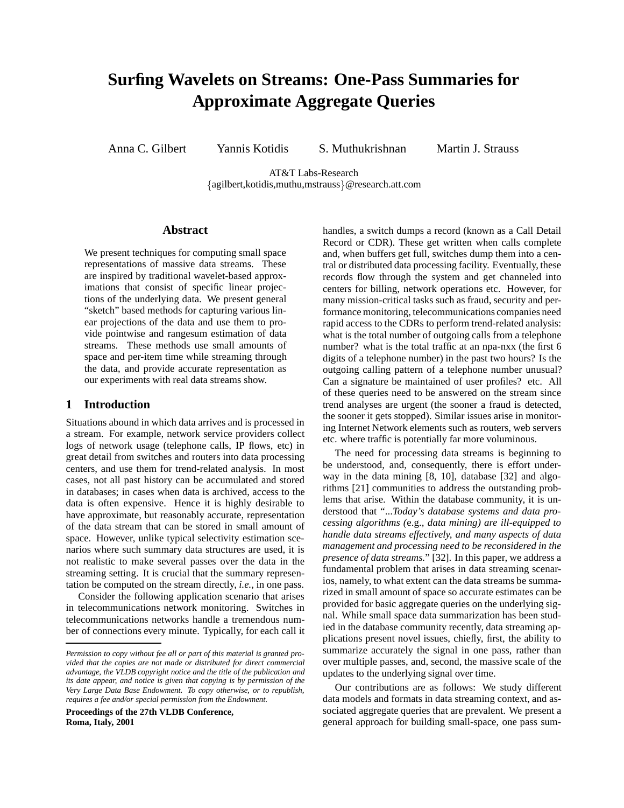# **Surfing Wavelets on Streams: One-Pass Summaries for Approximate Aggregate Queries**

Anna C. Gilbert Yannis Kotidis S. Muthukrishnan Martin J. Strauss

AT&T Labs-Research {agilbert, kotidis, muthu, mstrauss} @research.att.com

## **Abstract**

We present techniques for computing small space representations of massive data streams. These are inspired by traditional wavelet-based approximations that consist of specific linear projections of the underlying data. We present general "sketch" based methods for capturing various linear projections of the data and use them to provide pointwise and rangesum estimation of data streams. These methods use small amounts of space and per-item time while streaming through the data, and provide accurate representation as our experiments with real data streams show.

## **1 Introduction**

Situations abound in which data arrives and is processed in a stream. For example, network service providers collect logs of network usage (telephone calls, IP flows, etc) in great detail from switches and routers into data processing centers, and use them for trend-related analysis. In most cases, not all past history can be accumulated and stored in databases; in cases when data is archived, access to the data is often expensive. Hence it is highly desirable to have approximate, but reasonably accurate, representation of the data stream that can be stored in small amount of space. However, unlike typical selectivity estimation scenarios where such summary data structures are used, it is not realistic to make several passes over the data in the streaming setting. It is crucial that the summary representation be computed on the stream directly, *i.e.*, in one pass.

Consider the following application scenario that arises in telecommunications network monitoring. Switches in telecommunications networks handle a tremendous number of connections every minute. Typically, for each call it

**Proceedings of the 27th VLDB Conference, Roma, Italy, 2001**

handles, a switch dumps a record (known as a Call Detail Record or CDR). These get written when calls complete and, when buffers get full, switches dump them into a central or distributed data processing facility. Eventually, these records flow through the system and get channeled into centers for billing, network operations etc. However, for many mission-critical tasks such as fraud, security and performance monitoring, telecommunications companies need rapid access to the CDRs to perform trend-related analysis: what is the total number of outgoing calls from a telephone number? what is the total traffic at an npa-nxx (the first 6 digits of a telephone number) in the past two hours? Is the outgoing calling pattern of a telephone number unusual? Can a signature be maintained of user profiles? etc. All of these queries need to be answered on the stream since trend analyses are urgent (the sooner a fraud is detected, the sooner it gets stopped). Similar issues arise in monitoring Internet Network elements such as routers, web servers etc. where traffic is potentially far more voluminous.

The need for processing data streams is beginning to be understood, and, consequently, there is effort underway in the data mining [8, 10], database [32] and algorithms [21] communities to address the outstanding problems that arise. Within the database community, it is understood that "...*Today's database systems and data processing algorithms (*e.g.*, data mining) are ill-equipped to handle data streams effectively, and many aspects of data management and processing need to be reconsidered in the presence of data streams.*" [32]. In this paper, we address a fundamental problem that arises in data streaming scenarios, namely, to what extent can the data streams be summarized in small amount of space so accurate estimates can be provided for basic aggregate queries on the underlying signal. While small space data summarization has been studied in the database community recently, data streaming applications present novel issues, chiefly, first, the ability to summarize accurately the signal in one pass, rather than over multiple passes, and, second, the massive scale of the updates to the underlying signal over time.

Our contributions are as follows: We study different data models and formats in data streaming context, and associated aggregate queries that are prevalent. We present a general approach for building small-space, one pass sum-

*Permission to copy without fee all or part of this material is granted provided that the copies are not made or distributed for direct commercial advantage, the VLDB copyright notice and the title of the publication and its date appear, and notice is given that copying is by permission of the Very Large Data Base Endowment. To copy otherwise, or to republish, requires a fee and/or special permission from the Endowment.*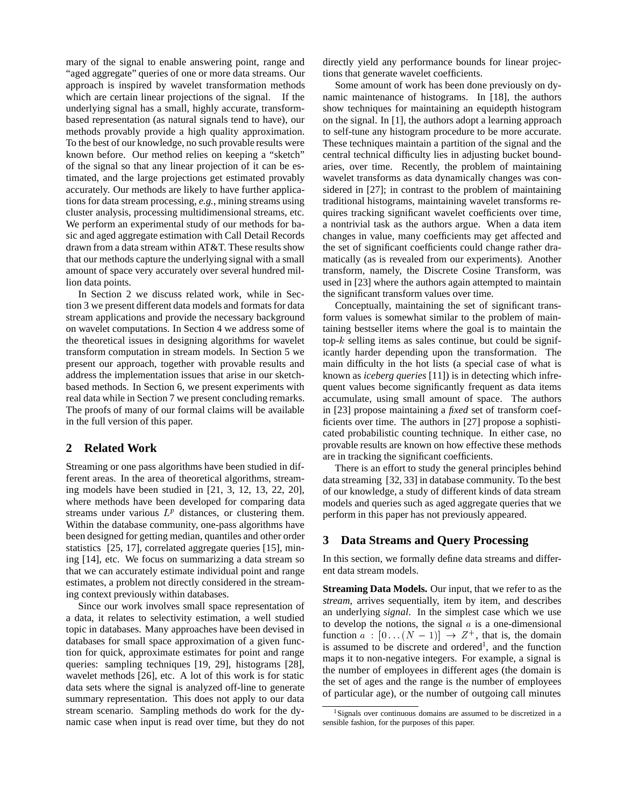mary of the signal to enable answering point, range and "aged aggregate" queries of one or more data streams. Our approach is inspired by wavelet transformation methods which are certain linear projections of the signal. If the underlying signal has a small, highly accurate, transformbased representation (as natural signals tend to have), our methods provably provide a high quality approximation. To the best of our knowledge, no such provable results were known before. Our method relies on keeping a "sketch" of the signal so that any linear projection of it can be estimated, and the large projections get estimated provably accurately. Our methods are likely to have further applications for data stream processing, *e.g.*, mining streams using cluster analysis, processing multidimensional streams, etc. We perform an experimental study of our methods for basic and aged aggregate estimation with Call Detail Records drawn from a data stream within AT&T. These results show that our methods capture the underlying signal with a small amount of space very accurately over several hundred million data points.

In Section 2 we discuss related work, while in Section 3 we present different data models and formats for data stream applications and provide the necessary background on wavelet computations. In Section 4 we address some of the theoretical issues in designing algorithms for wavelet transform computation in stream models. In Section 5 we present our approach, together with provable results and address the implementation issues that arise in our sketchbased methods. In Section 6, we present experiments with real data while in Section 7 we present concluding remarks. The proofs of many of our formal claims will be available in the full version of this paper.

# **2 Related Work**

Streaming or one pass algorithms have been studied in different areas. In the area of theoretical algorithms, streaming models have been studied in [21, 3, 12, 13, 22, 20], where methods have been developed for comparing data streams under various  $L^p$  distances, or clustering them. Within the database community, one-pass algorithms have been designed for getting median, quantiles and other order statistics [25, 17], correlated aggregate queries [15], mining [14], etc. We focus on summarizing a data stream so that we can accurately estimate individual point and range estimates, a problem not directly considered in the streaming context previously within databases.

Since our work involves small space representation of a data, it relates to selectivity estimation, a well studied topic in databases. Many approaches have been devised in databases for small space approximation of a given function for quick, approximate estimates for point and range queries: sampling techniques [19, 29], histograms [28], wavelet methods [26], etc. A lot of this work is for static data sets where the signal is analyzed off-line to generate summary representation. This does not apply to our data stream scenario. Sampling methods do work for the dynamic case when input is read over time, but they do not

directly yield any performance bounds for linear projections that generate wavelet coefficients.

Some amount of work has been done previously on dynamic maintenance of histograms. In [18], the authors show techniques for maintaining an equidepth histogram on the signal. In [1], the authors adopt a learning approach to self-tune any histogram procedure to be more accurate. These techniques maintain a partition of the signal and the central technical difficulty lies in adjusting bucket boundaries, over time. Recently, the problem of maintaining wavelet transforms as data dynamically changes was considered in [27]; in contrast to the problem of maintaining traditional histograms, maintaining wavelet transforms requires tracking significant wavelet coefficients over time, a nontrivial task as the authors argue. When a data item changes in value, many coefficients may get affected and the set of significant coefficients could change rather dramatically (as is revealed from our experiments). Another transform, namely, the Discrete Cosine Transform, was used in [23] where the authors again attempted to maintain the significant transform values over time.

Conceptually, maintaining the set of significant transform values is somewhat similar to the problem of maintaining bestseller items where the goal is to maintain the top- $k$  selling items as sales continue, but could be significantly harder depending upon the transformation. The main difficulty in the hot lists (a special case of what is known as *iceberg queries* [11]) is in detecting which infrequent values become significantly frequent as data items accumulate, using small amount of space. The authors in [23] propose maintaining a *fixed* set of transform coefficients over time. The authors in [27] propose a sophisticated probabilistic counting technique. In either case, no provable results are known on how effective these methods are in tracking the significant coefficients.

There is an effort to study the general principles behind data streaming [32, 33] in database community. To the best of our knowledge, a study of different kinds of data stream models and queries such as aged aggregate queries that we perform in this paper has not previously appeared.

## **3 Data Streams and Query Processing**

In this section, we formally define data streams and different data stream models.

**Streaming Data Models.** Our input, that we refer to as the *stream*, arrives sequentially, item by item, and describes an underlying *signal*. In the simplest case which we use to develop the notions, the signal  $\alpha$  is a one-dimensional function  $a : [0 \dots (N-1)] \rightarrow Z^+$ , that is, the domain is assumed to be discrete and ordered<sup>1</sup>, and the function maps it to non-negative integers. For example, a signal is the number of employees in different ages (the domain is the set of ages and the range is the number of employees of particular age), or the number of outgoing call minutes

<sup>&</sup>lt;sup>1</sup>Signals over continuous domains are assumed to be discretized in a sensible fashion, for the purposes of this paper.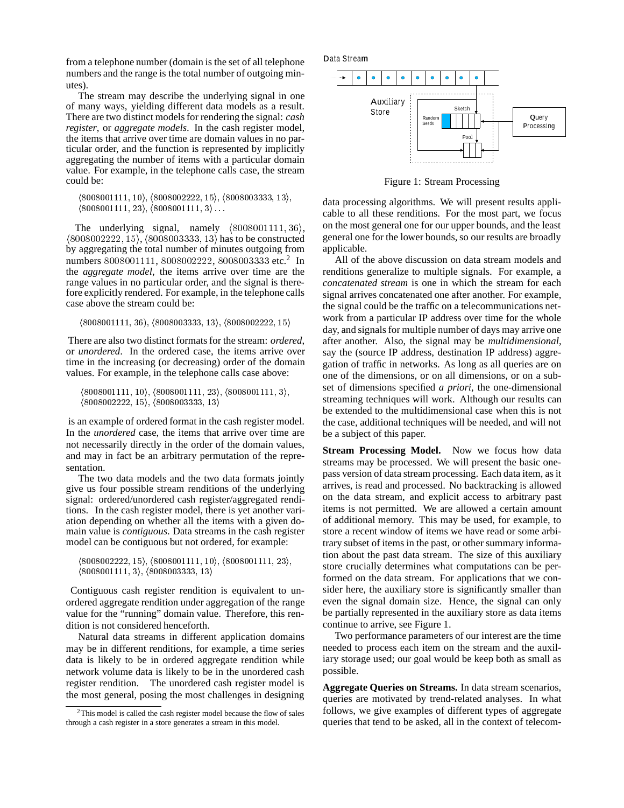from a telephone number (domain is the set of all telephone numbers and the range is the total number of outgoing minutes).

The stream may describe the underlying signal in one of many ways, yielding different data models as a result. There are two distinct models for rendering the signal: *cash register*, or *aggregate models*. In the cash register model, the items that arrive over time are domain values in no particular order, and the function is represented by implicitly aggregating the number of items with a particular domain value. For example, in the telephone calls case, the stream could be:

```
(8008001111, 10), (8008002222, 15), (8008003333, 13),(8008001111, 23), (8008001111, 3) \ldots
```
The underlying signal, namely  $\langle 8008001111, 36 \rangle$ ,  $(8008002222, 15)$ ,  $(8008003333, 13)$  has to be constructed by aggregating the total number of minutes outgoing from numbers 8008001111, 8008002222, 8008003333 etc.<sup>2</sup> In the *aggregate model*, the items arrive over time are the range values in no particular order, and the signal is therefore explicitly rendered. For example, in the telephone calls case above the stream could be:

```
(8008001111, 36), (8008003333, 13), (8008002222, 15)
```
There are also two distinct formats for the stream: *ordered*, or *unordered*. In the ordered case, the items arrive over time in the increasing (or decreasing) order of the domain values. For example, in the telephone calls case above:

 $(8008001111, 10), (8008001111, 23), (8008001111, 3),$  $(8008002222, 15), (8008003333, 13)$ 

is an example of ordered format in the cash register model. In the *unordered* case, the items that arrive over time are not necessarily directly in the order of the domain values, and may in fact be an arbitrary permutation of the representation.

The two data models and the two data formats jointly give us four possible stream renditions of the underlying signal: ordered/unordered cash register/aggregated renditions. In the cash register model, there is yet another variation depending on whether all the items with a given domain value is *contiguous*. Data streams in the cash register model can be contiguous but not ordered, for example:

```
(8008002222, 15), (8008001111, 10), (8008001111, 23),(8008001111, 3), (8008003333, 13)
```
Contiguous cash register rendition is equivalent to unordered aggregate rendition under aggregation of the range value for the "running" domain value. Therefore, this rendition is not considered henceforth.

Natural data streams in different application domains may be in different renditions, for example, a time series data is likely to be in ordered aggregate rendition while network volume data is likely to be in the unordered cash register rendition. The unordered cash register model is the most general, posing the most challenges in designing





Figure 1: Stream Processing

data processing algorithms. We will present results applicable to all these renditions. For the most part, we focus on the most general one for our upper bounds, and the least general one for the lower bounds, so our results are broadly applicable.

All of the above discussion on data stream models and renditions generalize to multiple signals. For example, a *concatenated stream* is one in which the stream for each signal arrives concatenated one after another. For example, the signal could be the traffic on a telecommunications network from a particular IP address over time for the whole day, and signals for multiple number of days may arrive one after another. Also, the signal may be *multidimensional*, say the (source IP address, destination IP address) aggregation of traffic in networks. As long as all queries are on one of the dimensions, or on all dimensions, or on a subset of dimensions specified *a priori*, the one-dimensional streaming techniques will work. Although our results can be extended to the multidimensional case when this is not the case, additional techniques will be needed, and will not be a subject of this paper.

**Stream Processing Model.** Now we focus how data streams may be processed. We will present the basic onepass version of data stream processing. Each data item, as it arrives, is read and processed. No backtracking is allowed on the data stream, and explicit access to arbitrary past items is not permitted. We are allowed a certain amount of additional memory. This may be used, for example, to store a recent window of items we have read or some arbitrary subset of items in the past, or other summary information about the past data stream. The size of this auxiliary store crucially determines what computations can be performed on the data stream. For applications that we consider here, the auxiliary store is significantly smaller than even the signal domain size. Hence, the signal can only be partially represented in the auxiliary store as data items continue to arrive, see Figure 1.

Two performance parameters of our interest are the time needed to process each item on the stream and the auxiliary storage used; our goal would be keep both as small as possible.

**Aggregate Queries on Streams.** In data stream scenarios, queries are motivated by trend-related analyses. In what follows, we give examples of different types of aggregate queries that tend to be asked, all in the context of telecom-

<sup>2</sup>This model is called the cash register model because the flow of sales through a cash register in a store generates a stream in this model.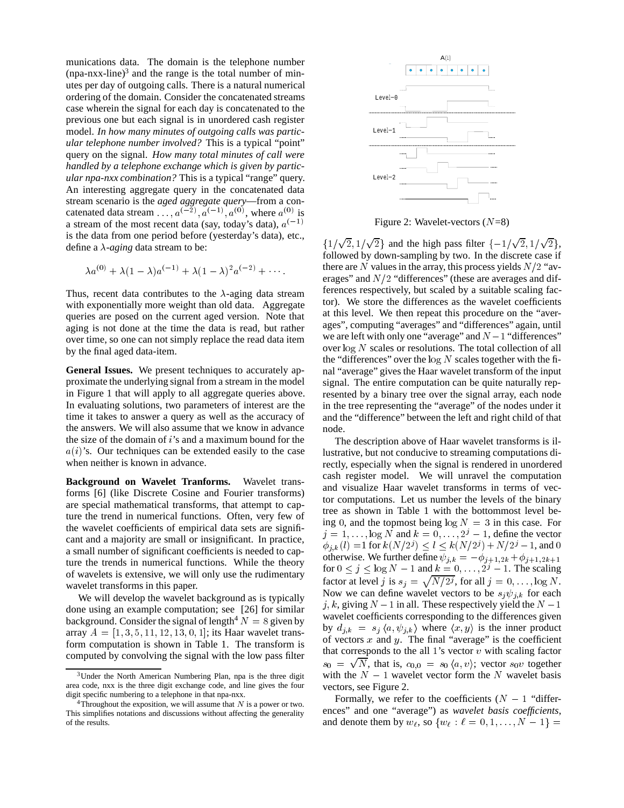munications data. The domain is the telephone number  $(npa-nxx-line)^3$  and the range is the total number of minutes per day of outgoing calls. There is a natural numerical ordering of the domain. Consider the concatenated streams case wherein the signal for each day is concatenated to the previous one but each signal is in unordered cash register model. *In how many minutes of outgoing calls was particular telephone number involved?* This is a typical "point" query on the signal. *How many total minutes of call were handled by a telephone exchange which is given by particular npa-nxx combination?* This is a typical "range" query. An interesting aggregate query in the concatenated data stream scenario is the *aged aggregate query*—from a concatenated data stream  $\dots$ ,  $a^{(-2)}$ ,  $a^{(-1)}$ ,  $a^{(0)}$ , where  $a^{(0)}$  is a stream of the most recent data (say, today's data),  $a^{(-1)}$ is the data from one period before (yesterday's data), etc., define a  $\lambda$ -*aging* data stream to be:

$$
\lambda a^{(0)} + \lambda (1-\lambda) a^{(-1)} + \lambda (1-\lambda)^2 a^{(-2)} + \cdots
$$

Thus, recent data contributes to the  $\lambda$ -aging data stream with exponentially more weight than old data. Aggregate queries are posed on the current aged version. Note that aging is not done at the time the data is read, but rather over time, so one can not simply replace the read data item by the final aged data-item.

**General Issues.** We present techniques to accurately approximate the underlying signal from a stream in the model in Figure 1 that will apply to all aggregate queries above. In evaluating solutions, two parameters of interest are the time it takes to answer a query as well as the accuracy of the answers. We will also assume that we know in advance the size of the domain of  $i$ 's and a maximum bound for the  $a(i)$ 's. Our techniques can be extended easily to the case when neither is known in advance.

**Background on Wavelet Tranforms.** Wavelet transforms [6] (like Discrete Cosine and Fourier transforms) are special mathematical transforms, that attempt to capture the trend in numerical functions. Often, very few of the wavelet coefficients of empirical data sets are significant and a majority are small or insignificant. In practice, a small number of significant coefficients is needed to capture the trends in numerical functions. While the theory of wavelets is extensive, we will only use the rudimentary wavelet transforms in this paper.

We will develop the wavelet background as is typically done using an example computation; see [26] for similar background. Consider the signal of length<sup>4</sup>  $N = 8$  given by array  $A = [1, 3, 5, 11, 12, 13, 0, 1]$ ; its Haar wavelet transform computation is shown in Table 1. The transform is computed by convolving the signal with the low pass filter



Figure 2: Wavelet-vectors (N=8)

erages" and  $N/2$  "differences" (these are averages and dif- $\{1/\sqrt{2}, 1/\sqrt{2}\}\$ and the high pass filter  $\{-1/\sqrt{2}, 1/\sqrt{2}\}\$ , followed by down-sampling by two. In the discrete case if there are N values in the array, this process yields  $N/2$  "avferences respectively, but scaled by a suitable scaling factor). We store the differences as the wavelet coefficients at this level. We then repeat this procedure on the "averages", computing "averages" and "differences" again, until we are left with only one "average" and  $N-1$  "differences" over  $\log N$  scales or resolutions. The total collection of all the "differences" over the  $log N$  scales together with the final "average" gives the Haar wavelet transform of the input signal. The entire computation can be quite naturally represented by a binary tree over the signal array, each node in the tree representing the "average" of the nodes under it and the "difference" between the left and right child of that node.

The description above of Haar wavelet transforms is illustrative, but not conducive to streaming computations directly, especially when the signal is rendered in unordered cash register model. We will unravel the computation and visualize Haar wavelet transforms in terms of vector computations. Let us number the levels of the binary tree as shown in Table 1 with the bottommost level being 0, and the topmost being  $\log N = 3$  in this case. For  $j = 1, \ldots, \log N$  and  $k = 0, \ldots, 2^j - 1$ , define the vector  $\phi_{i,k}(l)=1$  for  $k(N/2^j) \le l \le k(N/2^j) +N/2^j -1$ , and 0 otherwise. We further define  $\psi_{j,k} = -\phi_{j+1,2k} + \phi_{j+1,2k+1}$ for  $0 \le j \le \log N - 1$  and  $k = 0, \ldots, 2^{j} - 1$ . The scaling factor at level j is  $s_j = \sqrt{N/2^j}$ , for all  $j = 0, \ldots, \log N$ . Now we can define wavelet vectors to be  $s_i \psi_{i,k}$  for each j, k, giving  $N - 1$  in all. These respectively yield the  $N - 1$ wavelet coefficients corresponding to the differences given by  $d_{j,k} = s_j \langle a, \psi_{j,k} \rangle$  where  $\langle x, y \rangle$  is the inner product of vectors  $x$  and  $y$ . The final "average" is the coefficient that corresponds to the all 1's vector  $v$  with scaling factor  $s_0 = \sqrt{N}$ , that is,  $c_{0,0} = s_0 \langle a, v \rangle$ ; vector  $s_0v$  together with the  $N - 1$  wavelet vector form the N wavelet basis vectors, see Figure 2.

Formally, we refer to the coefficients  $(N - 1$  "differences" and one "average") as *wavelet basis coefficients*, and denote them by  $w_{\ell}$ , so  $\{w_{\ell} : \ell = 0, 1, \ldots, N - 1\} =$ 

<sup>3</sup>Under the North American Numbering Plan, npa is the three digit area code, nxx is the three digit exchange code, and line gives the four digit specific numbering to a telephone in that npa-nxx.

<sup>&</sup>lt;sup>4</sup>Throughout the exposition, we will assume that  $N$  is a power or two. This simplifies notations and discussions without affecting the generality of the results.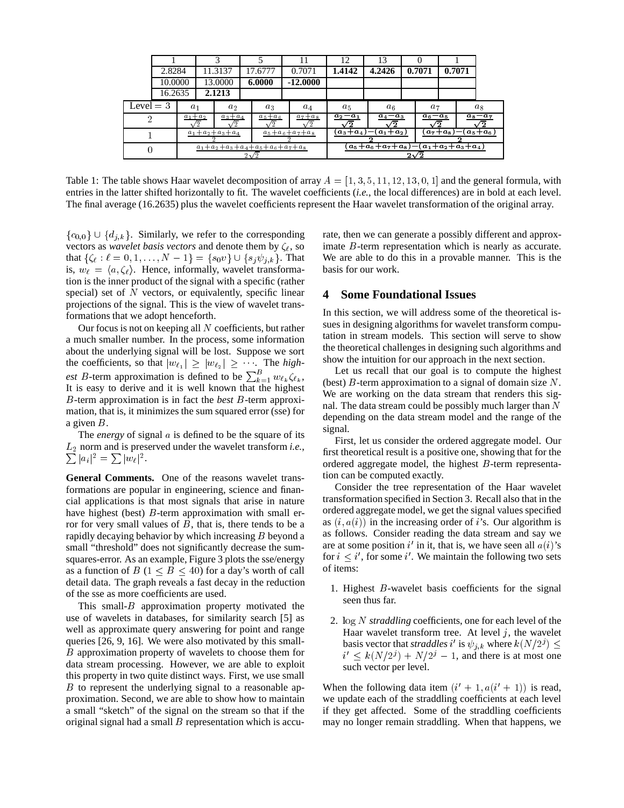|             |         |                                                  |         |        |             |           | 11                                                                                         | 12                     | 13      |             |                                                      |             |       |  |
|-------------|---------|--------------------------------------------------|---------|--------|-------------|-----------|--------------------------------------------------------------------------------------------|------------------------|---------|-------------|------------------------------------------------------|-------------|-------|--|
|             | 2.8284  |                                                  | 11.3137 |        | 17.6777     |           | 0.7071                                                                                     | 1.4142                 | 4.2426  |             | 0.7071<br>0.7071                                     |             |       |  |
|             | 10.0000 |                                                  | 13.0000 |        | 6.0000      |           | $-12,0000$                                                                                 |                        |         |             |                                                      |             |       |  |
|             | 16.2635 |                                                  |         | 2.1213 |             |           |                                                                                            |                        |         |             |                                                      |             |       |  |
| Level $=$ 3 |         | a <sub>1</sub>                                   |         | $a_2$  |             | $a_3$     | $a_4$                                                                                      | $a_5$                  | $a_{6}$ |             | $a_7$                                                |             | $a_8$ |  |
|             |         | $a_1+a_2$<br>$a_3+a_4$                           |         |        | $a_5 + a_6$ | $a_7+a_8$ | $a_2-a_1$<br>′2                                                                            | $a_4 - a_3$<br>′2      |         | $a_6 - a_5$ |                                                      | $a_8 - a_7$ |       |  |
|             |         | $a_1+a_2+a_3+a_4$                                |         |        |             |           | $a_5 + a_6 + a_7 + a_8$                                                                    | $a_1+a_2$<br>$a_3+a_4$ |         |             | $a_7+a_8$<br>$\left\lfloor a_{5}+a_{6}\right\rfloor$ |             |       |  |
|             |         | $a_1+a_2+a_3+a_4+a_5+a_6+a_7+a_8$<br>$2\sqrt{2}$ |         |        |             |           | $(a_1 + a_2 + a_3 + a_4)$<br>$\left( a_{5} + a_{6} + a_{7} + a_{8} \right)$<br>$2\sqrt{2}$ |                        |         |             |                                                      |             |       |  |

Table 1: The table shows Haar wavelet decomposition of array  $A = \begin{bmatrix} 1, 3, 5, 11, 12, 13, 0, 1 \end{bmatrix}$  and the general formula, with entries in the latter shifted horizontally to fit. The wavelet coefficients (*i.e.*, the local differences) are in bold at each level. The final average (16.2635) plus the wavelet coefficients represent the Haar wavelet transformation of the original array.

 ${c_{0,0}}\cup {d_{j,k}}$ . Similarly, we refer to the corresponding vectors as *wavelet basis vectors* and denote them by  $\zeta_{\ell}$ , so that  $\{\zeta_{\ell} : \ell = 0, 1, \ldots, N - 1\} = \{s_0v\} \cup \{s_i \psi_{i,k}\}.$  That is,  $w_{\ell} = \langle a, \zeta_{\ell} \rangle$ . Hence, informally, wavelet transformation is the inner product of the signal with a specific (rather special) set of  $N$  vectors, or equivalently, specific linear projections of the signal. This is the view of wavelet transformations that we adopt henceforth.

Our focus is not on keeping all  $N$  coefficients, but rather a much smaller number. In the process, some information about the underlying signal will be lost. Suppose we sort the coefficients, so that  $|w_{\ell_1}| \geq |w_{\ell_2}| \geq \dots$  The *highest* B-term approximation is defined to be  $\sum_{k=1}^{B} w_{\ell_k} \zeta_{\ell_k}$ ,  $\qquad \alpha$ It is easy to derive and it is well known that the highest B-term approximation is in fact the *best* B-term approximation, that is, it minimizes the sum squared error (sse) for a given B.

The *energy* of signal <sup>a</sup> is defined to be the square of its  $L_2$  norm and is preserved under the wavelet transform *i.e.*,  $|a_i|^2 = \sum |w_\ell|^2.$ 

**General Comments.** One of the reasons wavelet transformations are popular in engineering, science and financial applications is that most signals that arise in nature have highest (best)  $B$ -term approximation with small error for very small values of  $B$ , that is, there tends to be a rapidly decaying behavior by which increasing B beyond a small "threshold" does not significantly decrease the sumsquares-error. As an example, Figure 3 plots the sse/energy as a function of  $B$  (1  $\leq$   $B$   $\leq$  40) for a day's worth of call detail data. The graph reveals a fast decay in the reduction of the sse as more coefficients are used.

This small- $B$  approximation property motivated the use of wavelets in databases, for similarity search [5] as well as approximate query answering for point and range queries [26, 9, 16]. We were also motivated by this small-B approximation property of wavelets to choose them for data stream processing. However, we are able to exploit this property in two quite distinct ways. First, we use small B to represent the underlying signal to a reasonable approximation. Second, we are able to show how to maintain a small "sketch" of the signal on the stream so that if the original signal had a small  $B$  representation which is accurate, then we can generate a possibly different and approximate B-term representation which is nearly as accurate. We are able to do this in a provable manner. This is the basis for our work.

## **4 Some Foundational Issues**

In this section, we will address some of the theoretical issues in designing algorithms for wavelet transform computation in stream models. This section will serve to show the theoretical challenges in designing such algorithms and show the intuition for our approach in the next section.

Let us recall that our goal is to compute the highest (best)  $B$ -term approximation to a signal of domain size  $N$ . We are working on the data stream that renders this signal. The data stream could be possibly much larger than  $N$ depending on the data stream model and the range of the signal.

First, let us consider the ordered aggregate model. Our first theoretical result is a positive one, showing that for the ordered aggregate model, the highest B-term representation can be computed exactly.

Consider the tree representation of the Haar wavelet transformation specified in Section 3. Recall also that in the ordered aggregate model, we get the signal values specified as  $(i, a(i))$  in the increasing order of *i*'s. Our algorithm is as follows. Consider reading the data stream and say we are at some position  $i'$  in it, that is, we have seen all  $a(i)$ 's for  $i \leq i'$ , for some i'. We maintain the following two sets of items:

- 1. Highest B-wavelet basis coefficients for the signal seen thus far.
- 2. log <sup>N</sup> *straddling* coefficients, one for each level of the Haar wavelet transform tree. At level  $j$ , the wavelet basis vector that *straddles* i' is  $\psi_{i,k}$  where  $k(N/2^j) \leq$  $i' \leq k(N/2^{j}) + N/2^{j} - 1$ , and there is at most one such vector per level.

When the following data item  $(i' + 1, a(i' + 1))$  is read, we update each of the straddling coefficients at each level if they get affected. Some of the straddling coefficients may no longer remain straddling. When that happens, we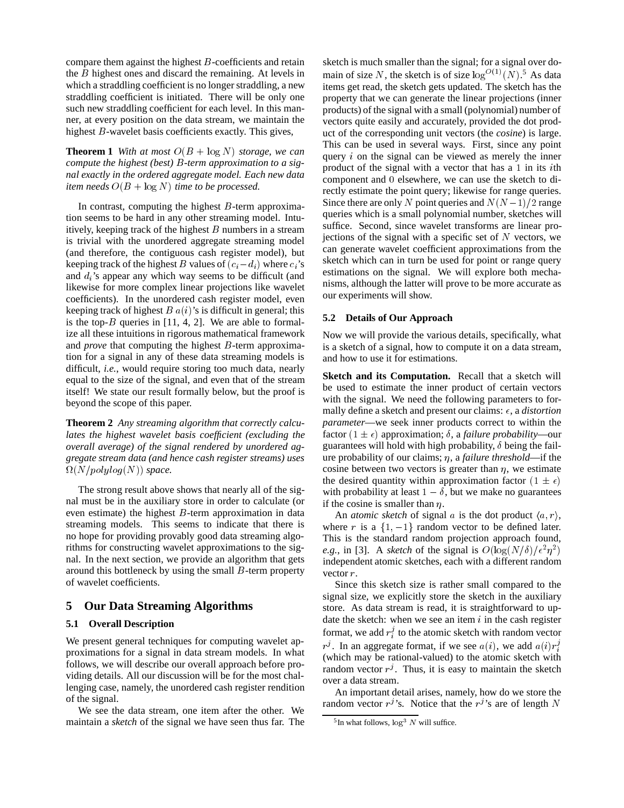compare them against the highest  $B$ -coefficients and retain the B highest ones and discard the remaining. At levels in which a straddling coefficient is no longer straddling, a new straddling coefficient is initiated. There will be only one such new straddling coefficient for each level. In this manner, at every position on the data stream, we maintain the highest *B*-wavelet basis coefficients exactly. This gives,

**Theorem 1** *With at most*  $O(B + \log N)$  *storage, we can compute the highest (best)* B*-term approximation to a signal exactly in the ordered aggregate model. Each new data item needs*  $O(B + \log N)$  *time to be processed.* 

In contrast, computing the highest  $B$ -term approximation seems to be hard in any other streaming model. Intuitively, keeping track of the highest  $B$  numbers in a stream is trivial with the unordered aggregate streaming model (and therefore, the contiguous cash register model), but keeping track of the highest B values of  $(c_i - d_i)$  where  $c_i$ 's and  $d_i$ 's appear any which way seems to be difficult (and likewise for more complex linear projections like wavelet coefficients). In the unordered cash register model, even keeping track of highest  $B\ a(i)$ 's is difficult in general; this is the top- $B$  queries in [11, 4, 2]. We are able to formalize all these intuitions in rigorous mathematical framework and *prove* that computing the highest B-term approximation for a signal in any of these data streaming models is difficult, *i.e.*, would require storing too much data, nearly equal to the size of the signal, and even that of the stream itself! We state our result formally below, but the proof is beyond the scope of this paper.

**Theorem 2** *Any streaming algorithm that correctly calculates the highest wavelet basis coefficient (excluding the overall average) of the signal rendered by unordered aggregate stream data (and hence cash register streams) uses*  $\Omega(N/polylog(N))$  *space.* 

The strong result above shows that nearly all of the signal must be in the auxiliary store in order to calculate (or even estimate) the highest  $B$ -term approximation in data streaming models. This seems to indicate that there is no hope for providing provably good data streaming algorithms for constructing wavelet approximations to the signal. In the next section, we provide an algorithm that gets around this bottleneck by using the small  $B$ -term property of wavelet coefficients.

## **5 Our Data Streaming Algorithms**

## **5.1 Overall Description**

We present general techniques for computing wavelet approximations for a signal in data stream models. In what follows, we will describe our overall approach before providing details. All our discussion will be for the most challenging case, namely, the unordered cash register rendition of the signal.

We see the data stream, one item after the other. We maintain a *sketch* of the signal we have seen thus far. The sketch is much smaller than the signal; for a signal over domain of size N, the sketch is of size  $\log^{O(1)}(N)$ .<sup>5</sup> As data items get read, the sketch gets updated. The sketch has the property that we can generate the linear projections (inner products) of the signal with a small (polynomial) number of vectors quite easily and accurately, provided the dot product of the corresponding unit vectors (the *cosine*) is large. This can be used in several ways. First, since any point query  $i$  on the signal can be viewed as merely the inner product of the signal with a vector that has a <sup>1</sup> in its ith component and <sup>0</sup> elsewhere, we can use the sketch to directly estimate the point query; likewise for range queries. Since there are only N point queries and  $N(N-1)/2$  range queries which is a small polynomial number, sketches will suffice. Second, since wavelet transforms are linear projections of the signal with a specific set of  $N$  vectors, we can generate wavelet coefficient approximations from the sketch which can in turn be used for point or range query estimations on the signal. We will explore both mechanisms, although the latter will prove to be more accurate as our experiments will show.

#### **5.2 Details of Our Approach**

Now we will provide the various details, specifically, what is a sketch of a signal, how to compute it on a data stream, and how to use it for estimations.

**Sketch and its Computation.** Recall that a sketch will be used to estimate the inner product of certain vectors with the signal. We need the following parameters to formally define a sketch and present our claims:  $\epsilon$ , a *distortion parameter*—we seek inner products correct to within the factor  $(1 \pm \epsilon)$  approximation;  $\delta$ , a *failure probability*—our guarantees will hold with high probability,  $\delta$  being the failure probability of our claims;  $\eta$ , a *failure threshold*—if the cosine between two vectors is greater than  $\eta$ , we estimate the desired quantity within approximation factor  $(1 \pm \epsilon)$ with probability at least  $1 - \delta$ , but we make no guarantees if the cosine is smaller than  $\eta$ .

An *atomic sketch* of signal a is the dot product  $\langle a, r \rangle$ , where r is a  $\{1, -1\}$  random vector to be defined later. This is the standard random projection approach found, *e.g.*, in [3]. A *sketch* of the signal is  $O(log(N/\delta)/\epsilon^2\eta^2)$ independent atomic sketches, each with a different random vector r.

Since this sketch size is rather small compared to the signal size, we explicitly store the sketch in the auxiliary store. As data stream is read, it is straightforward to update the sketch: when we see an item  $i$  in the cash register format, we add  $r_i^j$  to the atomic sketch with random vector  $r^{j}$ . In an aggregate format, if we see  $a(i)$ , we add  $a(i)r_{i}^{j}$ (which may be rational-valued) to the atomic sketch with random vector  $r^j$ . Thus, it is easy to maintain the sketch over a data stream.

An important detail arises, namely, how do we store the random vector  $r^{j}$ 's. Notice that the  $r^{j}$ 's are of length N

 $5$ In what follows,  $\log^3 N$  will suffice.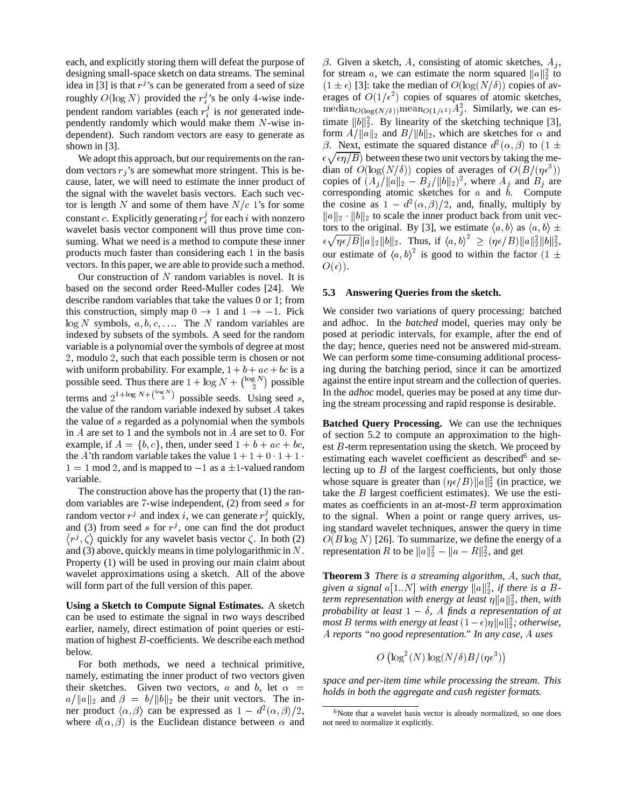each, and explicitly storing them will defeat the purpose of designing small-space sketch on data streams. The seminal idea in [3] is that  $r^j$ 's can be generated from a seed of size roughly  $O(log N)$  provided the  $r_i^j$ 's be only 4-wise independent random variables (each  $r_i^j$  is *not* generated independently randomly which would make them  $N$ -wise independent). Such random vectors are easy to generate as shown in [3].

We adopt this approach, but our requirements on the random vectors  $r_i$ 's are somewhat more stringent. This is because, later, we will need to estimate the inner product of the signal with the wavelet basis vectors. Each such vector is length N and some of them have  $N/c$  1's for some constant c. Explicitly generating  $r_i^j$  for each i with nonzero wavelet basis vector component will thus prove time consuming. What we need is a method to compute these inner products much faster than considering each <sup>1</sup> in the basis vectors. In this paper, we are able to provide such a method.

Our construction of  $N$  random variables is novel. It is based on the second order Reed-Muller codes [24]. We describe random variables that take the values 0 or 1; from this construction, simply map  $0 \rightarrow 1$  and  $1 \rightarrow -1$ . Pick  $\log N$  symbols,  $a, b, c, \ldots$ . The N random variables are indexed by subsets of the symbols. A seed for the random variable is a polynomial over the symbols of degree at most <sup>2</sup>, modulo <sup>2</sup>, such that each possible term is chosen or not with uniform probability. For example,  $1 + b + ac + bc$  is a possible seed. Thus there are  $1 + \log N + \binom{\log N}{2}$  possible terms and  $2^{1+\log N + \binom{\log N}{2}}$  possible seeds. Using seed s, the value of the random variable indexed by subset A takes the value of s regarded as a polynomial when the symbols in A are set to 1 and the symbols not in A are set to 0. For example, if  $A = \{b, c\}$ , then, under seed  $1 + b + ac + bc$ , the A'th random variable takes the value  $1+1+0 \cdot 1+1$  $1 = 1 \text{ mod } 2$ , and is mapped to  $-1$  as a  $\pm 1$ -valued random variable.

The construction above has the property that (1) the random variables are <sup>7</sup>-wise independent, (2) from seed <sup>s</sup> for random vector  $r^j$  and index i, we can generate  $r_i^j$  quickly, and (3) from seed s for  $r^j$ , one can find the dot product . . . .  $r^{j}$ ,  $\zeta$  quickly for any wavelet basis vector  $\zeta$ . In both (2) and (3) above, quickly means in time polylogarithmic in  $N$ . Property (1) will be used in proving our main claim about wavelet approximations using a sketch. All of the above will form part of the full version of this paper.

**Using a Sketch to Compute Signal Estimates.** A sketch can be used to estimate the signal in two ways described earlier, namely, direct estimation of point queries or estimation of highest  $B$ -coefficients. We describe each method below.

For both methods, we need a technical primitive, namely, estimating the inner product of two vectors given their sketches. Given two vectors, a and b, let  $\alpha =$  $a/\|a\|_2$  and  $\beta = b/\|b\|_2$  be their unit vectors. The inner product  $\langle \alpha, \beta \rangle$  can be expressed as  $1 - d^2(\alpha, \beta)/2$ , where  $d(\alpha, \beta)$  is the Euclidean distance between  $\alpha$  and

 $\beta$ . Given a sketch, A, consisting of atomic sketches,  $A_i$ , for stream a, we can estimate the norm squared  $||a||_2^2$  to  $(1 \pm \epsilon)$  [3]: take the median of  $O(log(N/\delta))$  copies of averages of  $O(1/\epsilon^2)$  copies of squares of atomic sketches, median $O(log(N/\delta))$  mean $O(1/\epsilon^2)A_j^2$ . Similarly, we can estimate  $||b||_2^2$ . By linearity of the sketching technique [3], form  $A/\|a\|_2$  and  $B/\|b\|_2$ , which are sketches for  $\alpha$  and  $\beta$ . Next, estimate the squared distance  $d^2(\alpha, \beta)$  to  $(1 \pm \beta)$  $\epsilon \sqrt{\epsilon \eta/B}$ ) between these two unit vectors by taking the median of  $O(\log(N/\delta))$  copies of averages of  $O(B/(\eta\epsilon^3))$ copies of  $(A_i/\|a\|_2 - B_i/\|b\|_2)^2$ , where  $A_i$  and  $B_i$  are corresponding atomic sketches for  $a$  and  $\dot{b}$ . Compute the cosine as  $1 - d^2(\alpha, \beta)/2$ , and, finally, multiply by  $||a||_2 \cdot ||b||_2$  to scale the inner product back from unit vectors to the original. By [3], we estimate  $\langle a, b \rangle$  as  $\langle a, b \rangle \pm$  $\epsilon \sqrt{\eta \epsilon/B} ||a||_2 ||b||_2$ . Thus, if  $\langle a, b \rangle^2 \geq (\eta \epsilon/B) ||a||_2^2 ||b||_2^2$ , our estimate of  $\langle a, b \rangle^2$  is good to within the factor  $(1 \pm$  $O(\epsilon)$ ).

#### **5.3 Answering Queries from the sketch.**

We consider two variations of query processing: batched and adhoc. In the *batched* model, queries may only be posed at periodic intervals, for example, after the end of the day; hence, queries need not be answered mid-stream. We can perform some time-consuming additional processing during the batching period, since it can be amortized against the entire input stream and the collection of queries. In the *adhoc* model, queries may be posed at any time during the stream processing and rapid response is desirable.

**Batched Query Processing.** We can use the techniques of section 5.2 to compute an approximation to the highest  $B$ -term representation using the sketch. We proceed by estimating each wavelet coefficient as described<sup>6</sup> and selecting up to  $B$  of the largest coefficients, but only those whose square is greater than  $(\eta \epsilon / B) ||a||_2^2$  (in practice, we take the  $B$  largest coefficient estimates). We use the estimates as coefficients in an at-most- $B$  term approximation to the signal. When a point or range query arrives, using standard wavelet techniques, answer the query in time  $O(B \log N)$  [26]. To summarize, we define the energy of a representation R to be  $||a||_2^2 - ||a - R||_2^2$ , and get

**Theorem 3** *There is a streaming algorithm,* A*, such that,* given a signal  $a[1..N]$  with energy  $||a||_2^2$ , if there is a B*term representation with energy at least*  $\eta \|a\|_2^2$ , then, with *probability at least*  $1 - \delta$ , A *finds a representation of at most B terms with energy at least*  $(1 - \epsilon) \eta \|a\|_2^2$ ; *otherwise*, A *reports "no good representation." In any case,* A *uses*

$$
O\left(\log^2(N)\log(N/\delta)B/(\eta\epsilon^3)\right)
$$

*space and per-item time while processing the stream. This holds in both the aggregate and cash register formats.*

<sup>&</sup>lt;sup>6</sup>Note that a wavelet basis vector is already normalized, so one does not need to normalize it explicitly.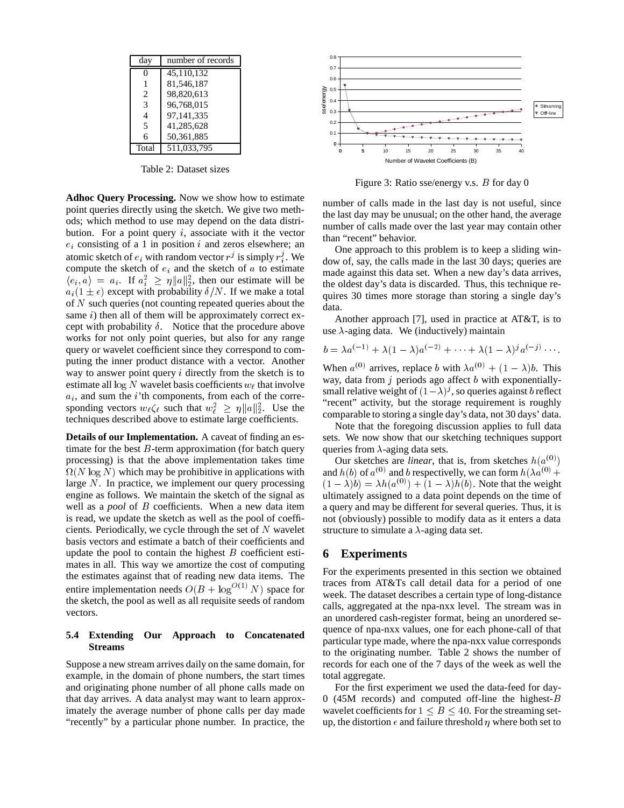| dav            | number of records |
|----------------|-------------------|
| 0              | 45,110,132        |
|                | 81,546,187        |
| 2              | 98,820,613        |
| 3              | 96,768,015        |
| $\overline{4}$ | 97,141,335        |
| $\overline{5}$ | 41,285,628        |
| 6              | 50,361,885        |
| Total          | 511,033,795       |

Table 2: Dataset sizes

**Adhoc Query Processing.** Now we show how to estimate point queries directly using the sketch. We give two methods; which method to use may depend on the data distribution. For a point query  $i$ , associate with it the vector  $e_i$  consisting of a 1 in position i and zeros elsewhere; an atomic sketch of  $e_i$  with random vector  $r^j$  is simply  $r_i^j$ . We compute the sketch of  $e_i$  and the sketch of  $a$  to estimate  $\langle e_i, a \rangle = a_i$ . If  $a_i^2 \geq \eta \|a\|_2^2$ , then our estimate will be  $a_i(1 \pm \epsilon)$  except with probability  $\delta/N$ . If we make a total of  $N$  such queries (not counting repeated queries about the same  $i$ ) then all of them will be approximately correct except with probability  $\delta$ . Notice that the procedure above works for not only point queries, but also for any range query or wavelet coefficient since they correspond to computing the inner product distance with a vector. Another way to answer point query  $i$  directly from the sketch is to estimate all  $\log N$  wavelet basis coefficients  $w_\ell$  that involve  $a_i$ , and sum the *i*'th components, from each of the corresponding vectors  $w_\ell \zeta_\ell$  such that  $w_\ell^2 \ge \eta \|a\|_2^2$ . Use the techniques described above to estimate large coefficients.

**Details of our Implementation.** A caveat of finding an estimate for the best  $B$ -term approximation (for batch query processing) is that the above implementation takes time  $\Omega(N \log N)$  which may be prohibitive in applications with large  $N$ . In practice, we implement our query processing engine as follows. We maintain the sketch of the signal as well as a *pool* of B coefficients. When a new data item is read, we update the sketch as well as the pool of coefficients. Periodically, we cycle through the set of  $N$  wavelet basis vectors and estimate a batch of their coefficients and update the pool to contain the highest  $B$  coefficient estimates in all. This way we amortize the cost of computing the estimates against that of reading new data items. The entire implementation needs  $O(B + \log^{O(1)} N)$  space for the sketch, the pool as well as all requisite seeds of random vectors.

#### **5.4 Extending Our Approach to Concatenated Streams**

Suppose a new stream arrives daily on the same domain, for example, in the domain of phone numbers, the start times and originating phone number of all phone calls made on that day arrives. A data analyst may want to learn approximately the average number of phone calls per day made "recently" by a particular phone number. In practice, the



Figure 3: Ratio sse/energy v.s. B for day 0

number of calls made in the last day is not useful, since the last day may be unusual; on the other hand, the average number of calls made over the last year may contain other than "recent" behavior.

One approach to this problem is to keep a sliding window of, say, the calls made in the last 30 days; queries are made against this data set. When a new day's data arrives, the oldest day's data is discarded. Thus, this technique requires 30 times more storage than storing a single day's data.

Another approach [7], used in practice at AT&T, is to use  $\lambda$ -aging data. We (inductively) maintain

$$
b = \lambda a^{(-1)} + \lambda (1 - \lambda) a^{(-2)} + \cdots + \lambda (1 - \lambda)^j a^{(-j)} \cdots
$$

When  $a^{(0)}$  arrives, replace b with  $\lambda a^{(0)} + (1 - \lambda) b$ . This way, data from  $j$  periods ago affect  $b$  with exponentiallysmall relative weight of  $(1 - \lambda)^j$ , so queries against b reflect "recent" activity, but the storage requirement is roughly comparable to storing a single day's data, not 30 days' data.

Note that the foregoing discussion applies to full data sets. We now show that our sketching techniques support queries from  $\lambda$ -aging data sets.

Our sketches are *linear*, that is, from sketches  $h(a^{(0)})$ and  $h(b)$  of  $a^{(0)}$  and b respectivelly, we can form  $h(\lambda a^{(0)} +$  $(1 - \lambda)b = \lambda h(a^{(0)}) + (1 - \lambda)h(b)$ . Note that the weight ultimately assigned to a data point depends on the time of a query and may be different for several queries. Thus, it is not (obviously) possible to modify data as it enters a data structure to simulate a  $\lambda$ -aging data set.

## **6 Experiments**

For the experiments presented in this section we obtained traces from AT&Ts call detail data for a period of one week. The dataset describes a certain type of long-distance calls, aggregated at the npa-nxx level. The stream was in an unordered cash-register format, being an unordered sequence of npa-nxx values, one for each phone-call of that particular type made, where the npa-nxx value corresponds to the originating number. Table 2 shows the number of records for each one of the 7 days of the week as well the total aggregate.

For the first experiment we used the data-feed for day-0 (45M records) and computed off-line the highest-B wavelet coefficients for  $1 \leq B \leq 40$ . For the streaming setup, the distortion  $\epsilon$  and failure threshold  $\eta$  where both set to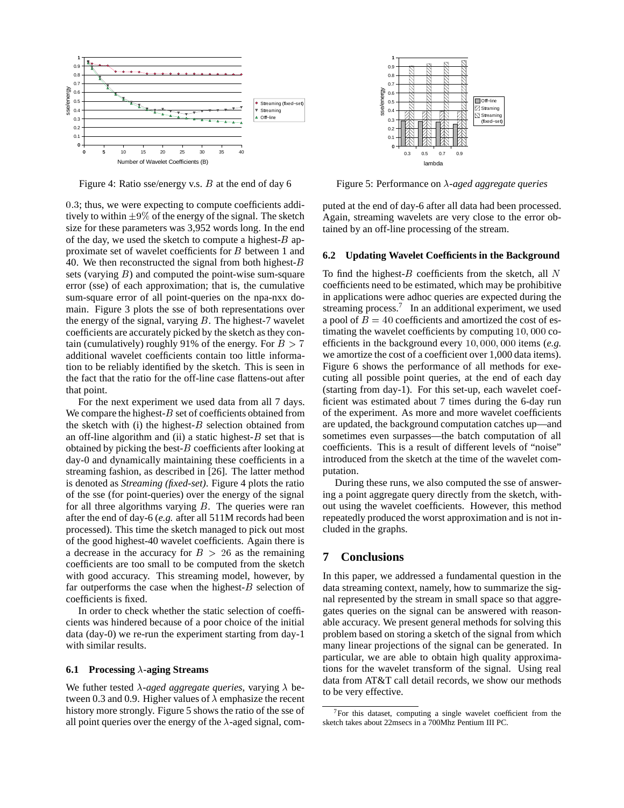

Figure 4: Ratio sse/energy v.s.  $B$  at the end of day 6

0:3; thus, we were expecting to compute coefficients additively to within  $\pm 9\%$  of the energy of the signal. The sketch size for these parameters was 3,952 words long. In the end of the day, we used the sketch to compute a highest- $B$  approximate set of wavelet coefficients for B between 1 and 40. We then reconstructed the signal from both highest- $B$ sets (varying  $B$ ) and computed the point-wise sum-square error (sse) of each approximation; that is, the cumulative sum-square error of all point-queries on the npa-nxx domain. Figure 3 plots the sse of both representations over the energy of the signal, varying  $B$ . The highest-7 wavelet coefficients are accurately picked by the sketch as they contain (cumulatively) roughly 91% of the energy. For  $B > 7$ additional wavelet coefficients contain too little information to be reliably identified by the sketch. This is seen in the fact that the ratio for the off-line case flattens-out after that point.

For the next experiment we used data from all 7 days. We compare the highest- $B$  set of coefficients obtained from the sketch with (i) the highest- $B$  selection obtained from an off-line algorithm and (ii) a static highest- $B$  set that is obtained by picking the best- $B$  coefficients after looking at day-0 and dynamically maintaining these coefficients in a streaming fashion, as described in [26]. The latter method is denoted as *Streaming (fixed-set)*. Figure 4 plots the ratio of the sse (for point-queries) over the energy of the signal for all three algorithms varying  $B$ . The queries were ran after the end of day-6 (*e.g.* after all 511M records had been processed). This time the sketch managed to pick out most of the good highest-40 wavelet coefficients. Again there is a decrease in the accuracy for  $B > 26$  as the remaining coefficients are too small to be computed from the sketch with good accuracy. This streaming model, however, by far outperforms the case when the highest- $B$  selection of coefficients is fixed.

In order to check whether the static selection of coefficients was hindered because of a poor choice of the initial data (day-0) we re-run the experiment starting from day-1 with similar results.

#### **6.1 Processing -aging Streams**

We futher tested  $\lambda$ -aged aggregate queries, varying  $\lambda$  between 0.3 and 0.9. Higher values of  $\lambda$  emphasize the recent history more strongly. Figure 5 shows the ratio of the sse of all point queries over the energy of the  $\lambda$ -aged signal, com-



Figure 5: Performance on  $\lambda$ -aged aggregate queries

puted at the end of day-6 after all data had been processed. Again, streaming wavelets are very close to the error obtained by an off-line processing of the stream.

#### **6.2 Updating Wavelet Coefficients in the Background**

To find the highest- $B$  coefficients from the sketch, all  $N$ coefficients need to be estimated, which may be prohibitive in applications were adhoc queries are expected during the streaming process.<sup>7</sup> In an additional experiment, we used a pool of  $B = 40$  coefficients and amortized the cost of estimating the wavelet coefficients by computing 10; <sup>000</sup> coefficients in the background every 10; 000; <sup>000</sup> items (*e.g.* we amortize the cost of a coefficient over 1,000 data items). Figure 6 shows the performance of all methods for executing all possible point queries, at the end of each day (starting from day-1). For this set-up, each wavelet coefficient was estimated about 7 times during the 6-day run of the experiment. As more and more wavelet coefficients are updated, the background computation catches up—and sometimes even surpasses—the batch computation of all coefficients. This is a result of different levels of "noise" introduced from the sketch at the time of the wavelet computation.

During these runs, we also computed the sse of answering a point aggregate query directly from the sketch, without using the wavelet coefficients. However, this method repeatedly produced the worst approximation and is not included in the graphs.

#### **7 Conclusions**

In this paper, we addressed a fundamental question in the data streaming context, namely, how to summarize the signal represented by the stream in small space so that aggregates queries on the signal can be answered with reasonable accuracy. We present general methods for solving this problem based on storing a sketch of the signal from which many linear projections of the signal can be generated. In particular, we are able to obtain high quality approximations for the wavelet transform of the signal. Using real data from AT&T call detail records, we show our methods to be very effective.

<sup>7</sup>For this dataset, computing a single wavelet coefficient from the sketch takes about 22msecs in a 700Mhz Pentium III PC.